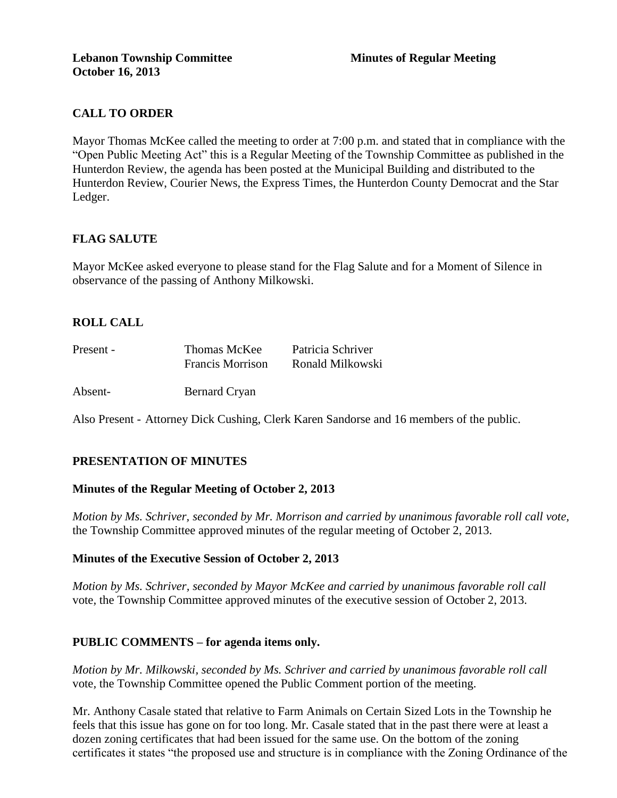# **CALL TO ORDER**

Mayor Thomas McKee called the meeting to order at 7:00 p.m. and stated that in compliance with the "Open Public Meeting Act" this is a Regular Meeting of the Township Committee as published in the Hunterdon Review, the agenda has been posted at the Municipal Building and distributed to the Hunterdon Review, Courier News, the Express Times, the Hunterdon County Democrat and the Star Ledger.

## **FLAG SALUTE**

Mayor McKee asked everyone to please stand for the Flag Salute and for a Moment of Silence in observance of the passing of Anthony Milkowski.

## **ROLL CALL**

| Present - | Thomas McKee            | Patricia Schriver |
|-----------|-------------------------|-------------------|
|           | <b>Francis Morrison</b> | Ronald Milkowski  |

Absent- Bernard Cryan

Also Present - Attorney Dick Cushing, Clerk Karen Sandorse and 16 members of the public.

## **PRESENTATION OF MINUTES**

#### **Minutes of the Regular Meeting of October 2, 2013**

*Motion by Ms. Schriver, seconded by Mr. Morrison and carried by unanimous favorable roll call vote,* the Township Committee approved minutes of the regular meeting of October 2, 2013.

#### **Minutes of the Executive Session of October 2, 2013**

*Motion by Ms. Schriver, seconded by Mayor McKee and carried by unanimous favorable roll call*  vote*,* the Township Committee approved minutes of the executive session of October 2, 2013.

#### **PUBLIC COMMENTS – for agenda items only.**

*Motion by Mr. Milkowski, seconded by Ms. Schriver and carried by unanimous favorable roll call*  vote*,* the Township Committee opened the Public Comment portion of the meeting.

Mr. Anthony Casale stated that relative to Farm Animals on Certain Sized Lots in the Township he feels that this issue has gone on for too long. Mr. Casale stated that in the past there were at least a dozen zoning certificates that had been issued for the same use. On the bottom of the zoning certificates it states "the proposed use and structure is in compliance with the Zoning Ordinance of the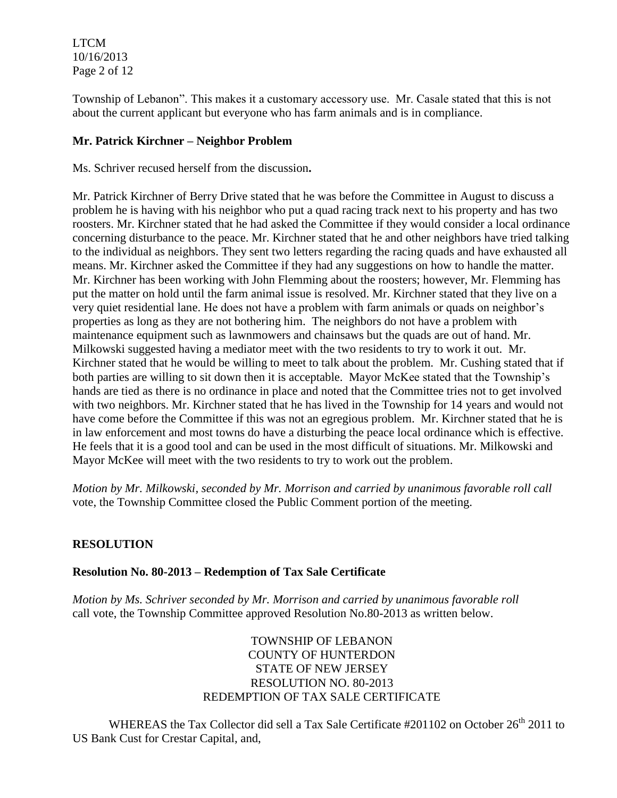LTCM 10/16/2013 Page 2 of 12

Township of Lebanon". This makes it a customary accessory use. Mr. Casale stated that this is not about the current applicant but everyone who has farm animals and is in compliance.

#### **Mr. Patrick Kirchner – Neighbor Problem**

Ms. Schriver recused herself from the discussion**.** 

Mr. Patrick Kirchner of Berry Drive stated that he was before the Committee in August to discuss a problem he is having with his neighbor who put a quad racing track next to his property and has two roosters. Mr. Kirchner stated that he had asked the Committee if they would consider a local ordinance concerning disturbance to the peace. Mr. Kirchner stated that he and other neighbors have tried talking to the individual as neighbors. They sent two letters regarding the racing quads and have exhausted all means. Mr. Kirchner asked the Committee if they had any suggestions on how to handle the matter. Mr. Kirchner has been working with John Flemming about the roosters; however, Mr. Flemming has put the matter on hold until the farm animal issue is resolved. Mr. Kirchner stated that they live on a very quiet residential lane. He does not have a problem with farm animals or quads on neighbor's properties as long as they are not bothering him. The neighbors do not have a problem with maintenance equipment such as lawnmowers and chainsaws but the quads are out of hand. Mr. Milkowski suggested having a mediator meet with the two residents to try to work it out. Mr. Kirchner stated that he would be willing to meet to talk about the problem. Mr. Cushing stated that if both parties are willing to sit down then it is acceptable. Mayor McKee stated that the Township's hands are tied as there is no ordinance in place and noted that the Committee tries not to get involved with two neighbors. Mr. Kirchner stated that he has lived in the Township for 14 years and would not have come before the Committee if this was not an egregious problem. Mr. Kirchner stated that he is in law enforcement and most towns do have a disturbing the peace local ordinance which is effective. He feels that it is a good tool and can be used in the most difficult of situations. Mr. Milkowski and Mayor McKee will meet with the two residents to try to work out the problem.

*Motion by Mr. Milkowski, seconded by Mr. Morrison and carried by unanimous favorable roll call*  vote, the Township Committee closed the Public Comment portion of the meeting.

## **RESOLUTION**

#### **Resolution No. 80-2013 – Redemption of Tax Sale Certificate**

*Motion by Ms. Schriver seconded by Mr. Morrison and carried by unanimous favorable roll*  call vote, the Township Committee approved Resolution No.80-2013 as written below.

> TOWNSHIP OF LEBANON COUNTY OF HUNTERDON STATE OF NEW JERSEY RESOLUTION NO. 80-2013 REDEMPTION OF TAX SALE CERTIFICATE

WHEREAS the Tax Collector did sell a Tax Sale Certificate #201102 on October 26<sup>th</sup> 2011 to US Bank Cust for Crestar Capital, and,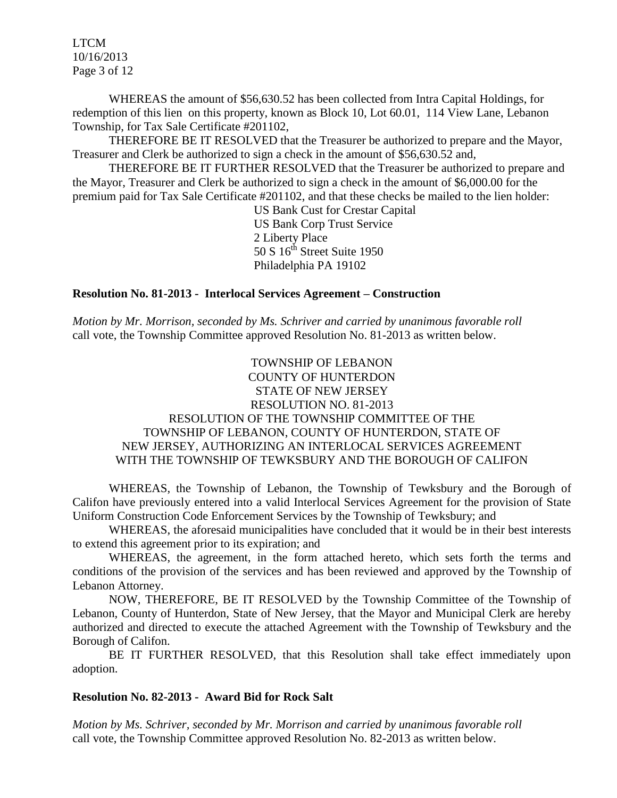LTCM 10/16/2013 Page 3 of 12

WHEREAS the amount of \$56,630.52 has been collected from Intra Capital Holdings, for redemption of this lien on this property, known as Block 10, Lot 60.01, 114 View Lane, Lebanon Township, for Tax Sale Certificate #201102,

THEREFORE BE IT RESOLVED that the Treasurer be authorized to prepare and the Mayor, Treasurer and Clerk be authorized to sign a check in the amount of \$56,630.52 and,

THEREFORE BE IT FURTHER RESOLVED that the Treasurer be authorized to prepare and the Mayor, Treasurer and Clerk be authorized to sign a check in the amount of \$6,000.00 for the premium paid for Tax Sale Certificate #201102, and that these checks be mailed to the lien holder:

> US Bank Cust for Crestar Capital US Bank Corp Trust Service 2 Liberty Place 50 S  $16^{th}$  Street Suite 1950 Philadelphia PA 19102

#### **Resolution No. 81-2013 - Interlocal Services Agreement – Construction**

*Motion by Mr. Morrison, seconded by Ms. Schriver and carried by unanimous favorable roll*  call vote, the Township Committee approved Resolution No. 81-2013 as written below.

### TOWNSHIP OF LEBANON COUNTY OF HUNTERDON STATE OF NEW JERSEY RESOLUTION NO. 81-2013 RESOLUTION OF THE TOWNSHIP COMMITTEE OF THE TOWNSHIP OF LEBANON, COUNTY OF HUNTERDON, STATE OF NEW JERSEY, AUTHORIZING AN INTERLOCAL SERVICES AGREEMENT WITH THE TOWNSHIP OF TEWKSBURY AND THE BOROUGH OF CALIFON

WHEREAS, the Township of Lebanon, the Township of Tewksbury and the Borough of Califon have previously entered into a valid Interlocal Services Agreement for the provision of State Uniform Construction Code Enforcement Services by the Township of Tewksbury; and

WHEREAS, the aforesaid municipalities have concluded that it would be in their best interests to extend this agreement prior to its expiration; and

WHEREAS, the agreement, in the form attached hereto, which sets forth the terms and conditions of the provision of the services and has been reviewed and approved by the Township of Lebanon Attorney.

NOW, THEREFORE, BE IT RESOLVED by the Township Committee of the Township of Lebanon, County of Hunterdon, State of New Jersey, that the Mayor and Municipal Clerk are hereby authorized and directed to execute the attached Agreement with the Township of Tewksbury and the Borough of Califon.

BE IT FURTHER RESOLVED, that this Resolution shall take effect immediately upon adoption.

#### **Resolution No. 82-2013 - Award Bid for Rock Salt**

*Motion by Ms. Schriver, seconded by Mr. Morrison and carried by unanimous favorable roll*  call vote, the Township Committee approved Resolution No. 82-2013 as written below.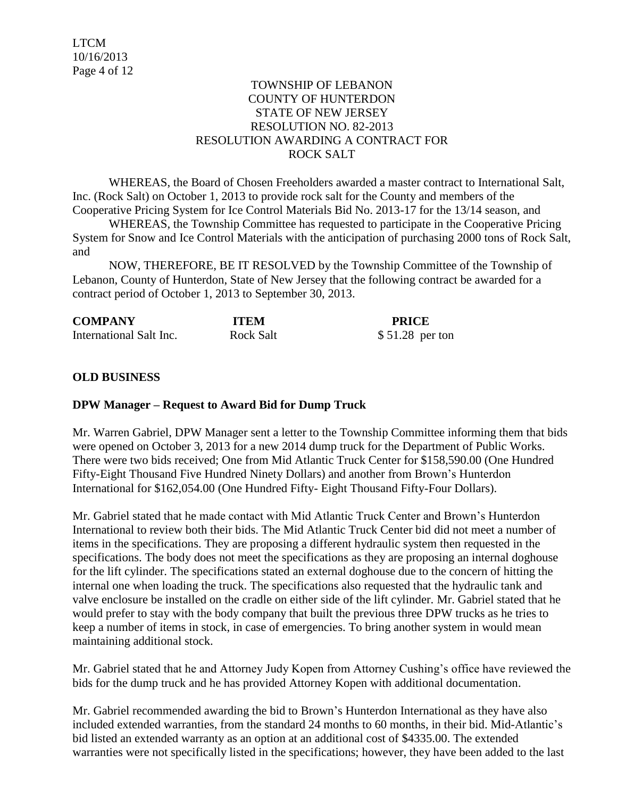### TOWNSHIP OF LEBANON COUNTY OF HUNTERDON STATE OF NEW JERSEY RESOLUTION NO. 82-2013 RESOLUTION AWARDING A CONTRACT FOR ROCK SALT

WHEREAS, the Board of Chosen Freeholders awarded a master contract to International Salt, Inc. (Rock Salt) on October 1, 2013 to provide rock salt for the County and members of the Cooperative Pricing System for Ice Control Materials Bid No. 2013-17 for the 13/14 season, and

WHEREAS, the Township Committee has requested to participate in the Cooperative Pricing System for Snow and Ice Control Materials with the anticipation of purchasing 2000 tons of Rock Salt, and

NOW, THEREFORE, BE IT RESOLVED by the Township Committee of the Township of Lebanon, County of Hunterdon, State of New Jersey that the following contract be awarded for a contract period of October 1, 2013 to September 30, 2013.

| <b>COMPANY</b>          | <b>ITEM</b>      | <b>PRICE</b>     |
|-------------------------|------------------|------------------|
| International Salt Inc. | <b>Rock Salt</b> | $$51.28$ per ton |

## **OLD BUSINESS**

#### **DPW Manager – Request to Award Bid for Dump Truck**

Mr. Warren Gabriel, DPW Manager sent a letter to the Township Committee informing them that bids were opened on October 3, 2013 for a new 2014 dump truck for the Department of Public Works. There were two bids received; One from Mid Atlantic Truck Center for \$158,590.00 (One Hundred Fifty-Eight Thousand Five Hundred Ninety Dollars) and another from Brown's Hunterdon International for \$162,054.00 (One Hundred Fifty- Eight Thousand Fifty-Four Dollars).

Mr. Gabriel stated that he made contact with Mid Atlantic Truck Center and Brown's Hunterdon International to review both their bids. The Mid Atlantic Truck Center bid did not meet a number of items in the specifications. They are proposing a different hydraulic system then requested in the specifications. The body does not meet the specifications as they are proposing an internal doghouse for the lift cylinder. The specifications stated an external doghouse due to the concern of hitting the internal one when loading the truck. The specifications also requested that the hydraulic tank and valve enclosure be installed on the cradle on either side of the lift cylinder. Mr. Gabriel stated that he would prefer to stay with the body company that built the previous three DPW trucks as he tries to keep a number of items in stock, in case of emergencies. To bring another system in would mean maintaining additional stock.

Mr. Gabriel stated that he and Attorney Judy Kopen from Attorney Cushing's office have reviewed the bids for the dump truck and he has provided Attorney Kopen with additional documentation.

Mr. Gabriel recommended awarding the bid to Brown's Hunterdon International as they have also included extended warranties, from the standard 24 months to 60 months, in their bid. Mid-Atlantic's bid listed an extended warranty as an option at an additional cost of \$4335.00. The extended warranties were not specifically listed in the specifications; however, they have been added to the last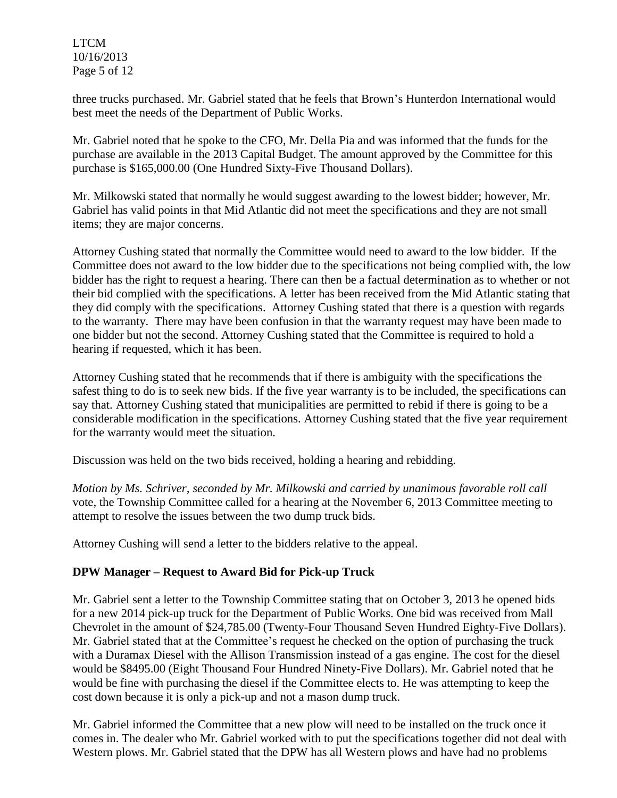LTCM 10/16/2013 Page 5 of 12

three trucks purchased. Mr. Gabriel stated that he feels that Brown's Hunterdon International would best meet the needs of the Department of Public Works.

Mr. Gabriel noted that he spoke to the CFO, Mr. Della Pia and was informed that the funds for the purchase are available in the 2013 Capital Budget. The amount approved by the Committee for this purchase is \$165,000.00 (One Hundred Sixty-Five Thousand Dollars).

Mr. Milkowski stated that normally he would suggest awarding to the lowest bidder; however, Mr. Gabriel has valid points in that Mid Atlantic did not meet the specifications and they are not small items; they are major concerns.

Attorney Cushing stated that normally the Committee would need to award to the low bidder. If the Committee does not award to the low bidder due to the specifications not being complied with, the low bidder has the right to request a hearing. There can then be a factual determination as to whether or not their bid complied with the specifications. A letter has been received from the Mid Atlantic stating that they did comply with the specifications. Attorney Cushing stated that there is a question with regards to the warranty. There may have been confusion in that the warranty request may have been made to one bidder but not the second. Attorney Cushing stated that the Committee is required to hold a hearing if requested, which it has been.

Attorney Cushing stated that he recommends that if there is ambiguity with the specifications the safest thing to do is to seek new bids. If the five year warranty is to be included, the specifications can say that. Attorney Cushing stated that municipalities are permitted to rebid if there is going to be a considerable modification in the specifications. Attorney Cushing stated that the five year requirement for the warranty would meet the situation.

Discussion was held on the two bids received, holding a hearing and rebidding.

*Motion by Ms. Schriver, seconded by Mr. Milkowski and carried by unanimous favorable roll call* vote, the Township Committee called for a hearing at the November 6, 2013 Committee meeting to attempt to resolve the issues between the two dump truck bids.

Attorney Cushing will send a letter to the bidders relative to the appeal.

## **DPW Manager – Request to Award Bid for Pick-up Truck**

Mr. Gabriel sent a letter to the Township Committee stating that on October 3, 2013 he opened bids for a new 2014 pick-up truck for the Department of Public Works. One bid was received from Mall Chevrolet in the amount of \$24,785.00 (Twenty-Four Thousand Seven Hundred Eighty-Five Dollars). Mr. Gabriel stated that at the Committee's request he checked on the option of purchasing the truck with a Duramax Diesel with the Allison Transmission instead of a gas engine. The cost for the diesel would be \$8495.00 (Eight Thousand Four Hundred Ninety-Five Dollars). Mr. Gabriel noted that he would be fine with purchasing the diesel if the Committee elects to. He was attempting to keep the cost down because it is only a pick-up and not a mason dump truck.

Mr. Gabriel informed the Committee that a new plow will need to be installed on the truck once it comes in. The dealer who Mr. Gabriel worked with to put the specifications together did not deal with Western plows. Mr. Gabriel stated that the DPW has all Western plows and have had no problems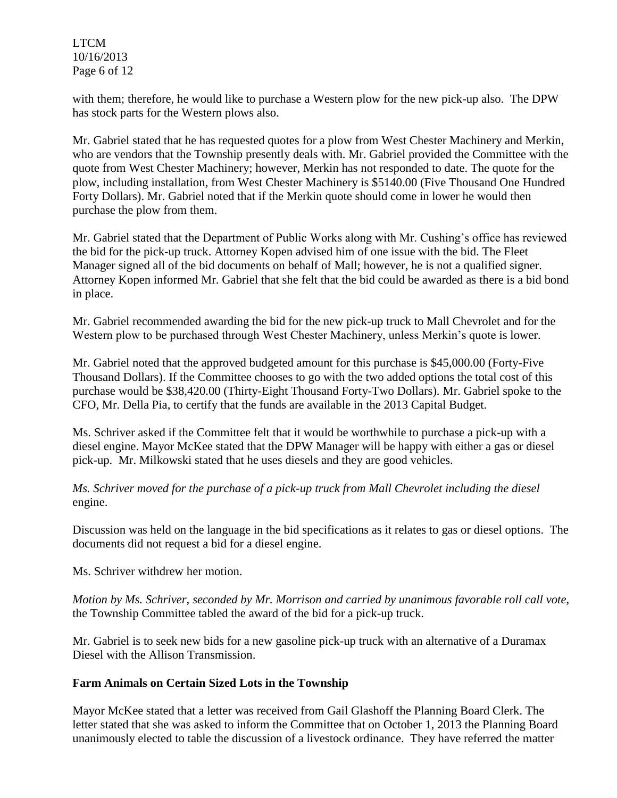LTCM 10/16/2013 Page 6 of 12

with them; therefore, he would like to purchase a Western plow for the new pick-up also. The DPW has stock parts for the Western plows also.

Mr. Gabriel stated that he has requested quotes for a plow from West Chester Machinery and Merkin, who are vendors that the Township presently deals with. Mr. Gabriel provided the Committee with the quote from West Chester Machinery; however, Merkin has not responded to date. The quote for the plow, including installation, from West Chester Machinery is \$5140.00 (Five Thousand One Hundred Forty Dollars). Mr. Gabriel noted that if the Merkin quote should come in lower he would then purchase the plow from them.

Mr. Gabriel stated that the Department of Public Works along with Mr. Cushing's office has reviewed the bid for the pick-up truck. Attorney Kopen advised him of one issue with the bid. The Fleet Manager signed all of the bid documents on behalf of Mall; however, he is not a qualified signer. Attorney Kopen informed Mr. Gabriel that she felt that the bid could be awarded as there is a bid bond in place.

Mr. Gabriel recommended awarding the bid for the new pick-up truck to Mall Chevrolet and for the Western plow to be purchased through West Chester Machinery, unless Merkin's quote is lower.

Mr. Gabriel noted that the approved budgeted amount for this purchase is \$45,000.00 (Forty-Five Thousand Dollars). If the Committee chooses to go with the two added options the total cost of this purchase would be \$38,420.00 (Thirty-Eight Thousand Forty-Two Dollars). Mr. Gabriel spoke to the CFO, Mr. Della Pia, to certify that the funds are available in the 2013 Capital Budget.

Ms. Schriver asked if the Committee felt that it would be worthwhile to purchase a pick-up with a diesel engine. Mayor McKee stated that the DPW Manager will be happy with either a gas or diesel pick-up. Mr. Milkowski stated that he uses diesels and they are good vehicles.

*Ms. Schriver moved for the purchase of a pick-up truck from Mall Chevrolet including the diesel* engine.

Discussion was held on the language in the bid specifications as it relates to gas or diesel options. The documents did not request a bid for a diesel engine.

Ms. Schriver withdrew her motion.

*Motion by Ms. Schriver, seconded by Mr. Morrison and carried by unanimous favorable roll call vote*, the Township Committee tabled the award of the bid for a pick-up truck.

Mr. Gabriel is to seek new bids for a new gasoline pick-up truck with an alternative of a Duramax Diesel with the Allison Transmission.

#### **Farm Animals on Certain Sized Lots in the Township**

Mayor McKee stated that a letter was received from Gail Glashoff the Planning Board Clerk. The letter stated that she was asked to inform the Committee that on October 1, 2013 the Planning Board unanimously elected to table the discussion of a livestock ordinance. They have referred the matter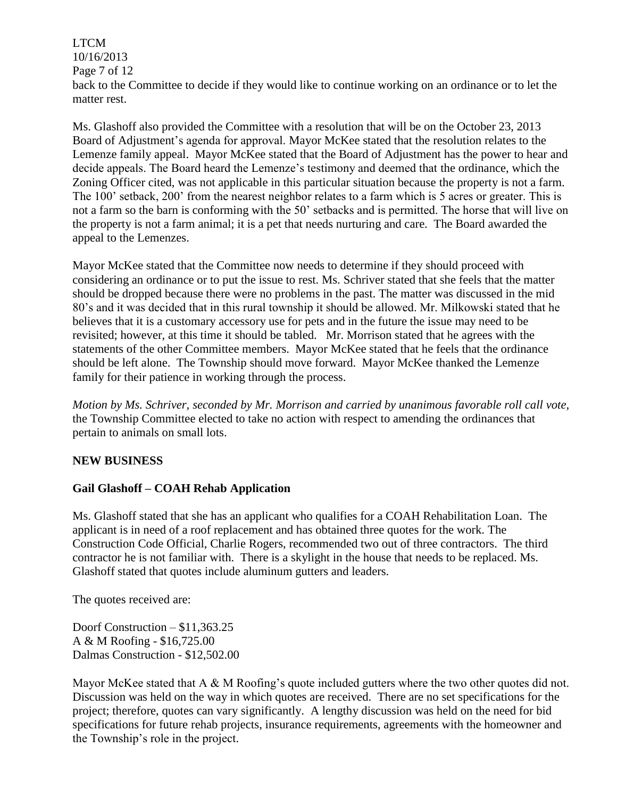LTCM 10/16/2013 Page 7 of 12 back to the Committee to decide if they would like to continue working on an ordinance or to let the matter rest.

Ms. Glashoff also provided the Committee with a resolution that will be on the October 23, 2013 Board of Adjustment's agenda for approval. Mayor McKee stated that the resolution relates to the Lemenze family appeal. Mayor McKee stated that the Board of Adjustment has the power to hear and decide appeals. The Board heard the Lemenze's testimony and deemed that the ordinance, which the Zoning Officer cited, was not applicable in this particular situation because the property is not a farm. The 100' setback, 200' from the nearest neighbor relates to a farm which is 5 acres or greater. This is not a farm so the barn is conforming with the 50' setbacks and is permitted. The horse that will live on the property is not a farm animal; it is a pet that needs nurturing and care. The Board awarded the appeal to the Lemenzes.

Mayor McKee stated that the Committee now needs to determine if they should proceed with considering an ordinance or to put the issue to rest. Ms. Schriver stated that she feels that the matter should be dropped because there were no problems in the past. The matter was discussed in the mid 80's and it was decided that in this rural township it should be allowed. Mr. Milkowski stated that he believes that it is a customary accessory use for pets and in the future the issue may need to be revisited; however, at this time it should be tabled. Mr. Morrison stated that he agrees with the statements of the other Committee members. Mayor McKee stated that he feels that the ordinance should be left alone. The Township should move forward. Mayor McKee thanked the Lemenze family for their patience in working through the process.

*Motion by Ms. Schriver, seconded by Mr. Morrison and carried by unanimous favorable roll call vote,* the Township Committee elected to take no action with respect to amending the ordinances that pertain to animals on small lots.

#### **NEW BUSINESS**

#### **Gail Glashoff – COAH Rehab Application**

Ms. Glashoff stated that she has an applicant who qualifies for a COAH Rehabilitation Loan. The applicant is in need of a roof replacement and has obtained three quotes for the work. The Construction Code Official, Charlie Rogers, recommended two out of three contractors. The third contractor he is not familiar with. There is a skylight in the house that needs to be replaced. Ms. Glashoff stated that quotes include aluminum gutters and leaders.

The quotes received are:

Doorf Construction – \$11,363.25 A & M Roofing - \$16,725.00 Dalmas Construction - \$12,502.00

Mayor McKee stated that A & M Roofing's quote included gutters where the two other quotes did not. Discussion was held on the way in which quotes are received. There are no set specifications for the project; therefore, quotes can vary significantly. A lengthy discussion was held on the need for bid specifications for future rehab projects, insurance requirements, agreements with the homeowner and the Township's role in the project.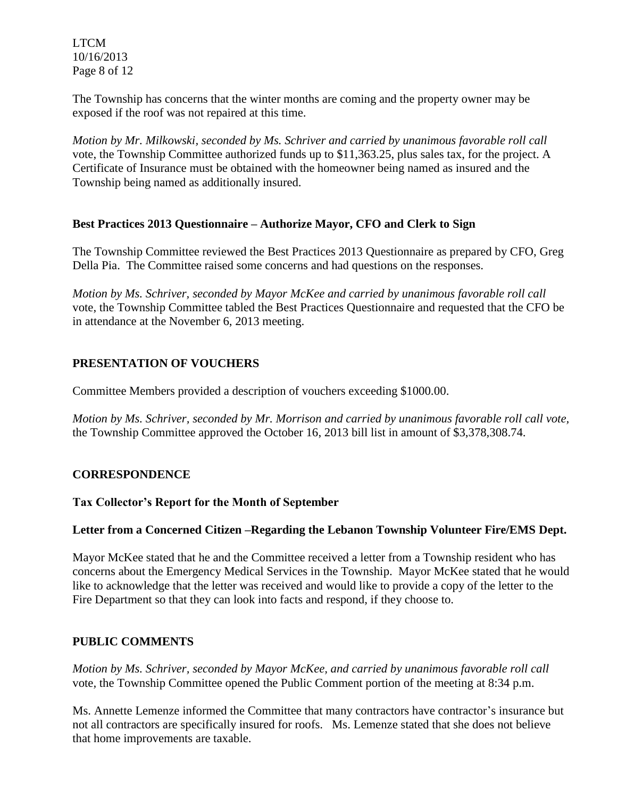LTCM 10/16/2013 Page 8 of 12

The Township has concerns that the winter months are coming and the property owner may be exposed if the roof was not repaired at this time.

*Motion by Mr. Milkowski, seconded by Ms. Schriver and carried by unanimous favorable roll call*  vote, the Township Committee authorized funds up to \$11,363.25, plus sales tax, for the project. A Certificate of Insurance must be obtained with the homeowner being named as insured and the Township being named as additionally insured.

### **Best Practices 2013 Questionnaire – Authorize Mayor, CFO and Clerk to Sign**

The Township Committee reviewed the Best Practices 2013 Questionnaire as prepared by CFO, Greg Della Pia. The Committee raised some concerns and had questions on the responses.

*Motion by Ms. Schriver, seconded by Mayor McKee and carried by unanimous favorable roll call*  vote, the Township Committee tabled the Best Practices Questionnaire and requested that the CFO be in attendance at the November 6, 2013 meeting.

## **PRESENTATION OF VOUCHERS**

Committee Members provided a description of vouchers exceeding \$1000.00.

*Motion by Ms. Schriver, seconded by Mr. Morrison and carried by unanimous favorable roll call vote,* the Township Committee approved the October 16, 2013 bill list in amount of \$3,378,308.74.

## **CORRESPONDENCE**

#### **Tax Collector's Report for the Month of September**

#### **Letter from a Concerned Citizen –Regarding the Lebanon Township Volunteer Fire/EMS Dept.**

Mayor McKee stated that he and the Committee received a letter from a Township resident who has concerns about the Emergency Medical Services in the Township. Mayor McKee stated that he would like to acknowledge that the letter was received and would like to provide a copy of the letter to the Fire Department so that they can look into facts and respond, if they choose to.

#### **PUBLIC COMMENTS**

*Motion by Ms. Schriver, seconded by Mayor McKee, and carried by unanimous favorable roll call*  vote*,* the Township Committee opened the Public Comment portion of the meeting at 8:34 p.m.

Ms. Annette Lemenze informed the Committee that many contractors have contractor's insurance but not all contractors are specifically insured for roofs. Ms. Lemenze stated that she does not believe that home improvements are taxable.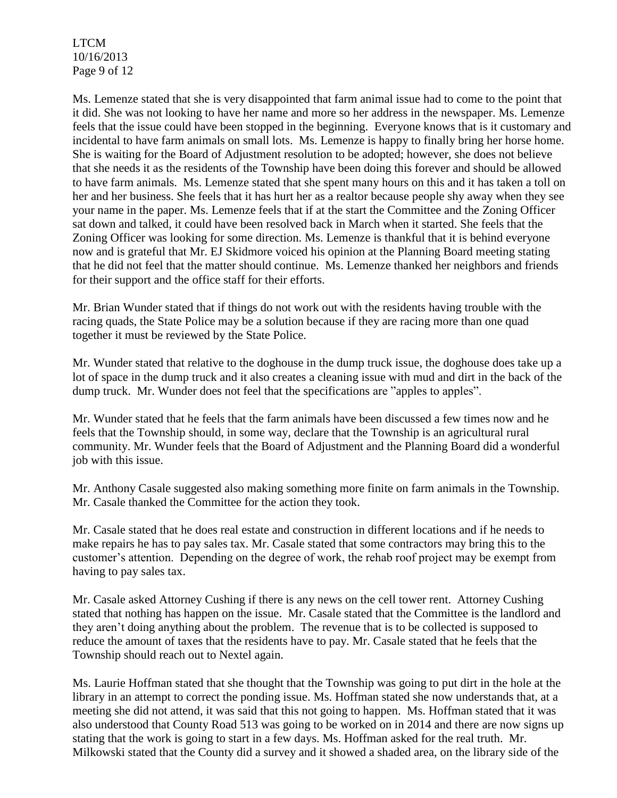LTCM 10/16/2013 Page 9 of 12

Ms. Lemenze stated that she is very disappointed that farm animal issue had to come to the point that it did. She was not looking to have her name and more so her address in the newspaper. Ms. Lemenze feels that the issue could have been stopped in the beginning. Everyone knows that is it customary and incidental to have farm animals on small lots. Ms. Lemenze is happy to finally bring her horse home. She is waiting for the Board of Adjustment resolution to be adopted; however, she does not believe that she needs it as the residents of the Township have been doing this forever and should be allowed to have farm animals. Ms. Lemenze stated that she spent many hours on this and it has taken a toll on her and her business. She feels that it has hurt her as a realtor because people shy away when they see your name in the paper. Ms. Lemenze feels that if at the start the Committee and the Zoning Officer sat down and talked, it could have been resolved back in March when it started. She feels that the Zoning Officer was looking for some direction. Ms. Lemenze is thankful that it is behind everyone now and is grateful that Mr. EJ Skidmore voiced his opinion at the Planning Board meeting stating that he did not feel that the matter should continue. Ms. Lemenze thanked her neighbors and friends for their support and the office staff for their efforts.

Mr. Brian Wunder stated that if things do not work out with the residents having trouble with the racing quads, the State Police may be a solution because if they are racing more than one quad together it must be reviewed by the State Police.

Mr. Wunder stated that relative to the doghouse in the dump truck issue, the doghouse does take up a lot of space in the dump truck and it also creates a cleaning issue with mud and dirt in the back of the dump truck. Mr. Wunder does not feel that the specifications are "apples to apples".

Mr. Wunder stated that he feels that the farm animals have been discussed a few times now and he feels that the Township should, in some way, declare that the Township is an agricultural rural community. Mr. Wunder feels that the Board of Adjustment and the Planning Board did a wonderful job with this issue.

Mr. Anthony Casale suggested also making something more finite on farm animals in the Township. Mr. Casale thanked the Committee for the action they took.

Mr. Casale stated that he does real estate and construction in different locations and if he needs to make repairs he has to pay sales tax. Mr. Casale stated that some contractors may bring this to the customer's attention. Depending on the degree of work, the rehab roof project may be exempt from having to pay sales tax.

Mr. Casale asked Attorney Cushing if there is any news on the cell tower rent. Attorney Cushing stated that nothing has happen on the issue. Mr. Casale stated that the Committee is the landlord and they aren't doing anything about the problem. The revenue that is to be collected is supposed to reduce the amount of taxes that the residents have to pay. Mr. Casale stated that he feels that the Township should reach out to Nextel again.

Ms. Laurie Hoffman stated that she thought that the Township was going to put dirt in the hole at the library in an attempt to correct the ponding issue. Ms. Hoffman stated she now understands that, at a meeting she did not attend, it was said that this not going to happen. Ms. Hoffman stated that it was also understood that County Road 513 was going to be worked on in 2014 and there are now signs up stating that the work is going to start in a few days. Ms. Hoffman asked for the real truth. Mr. Milkowski stated that the County did a survey and it showed a shaded area, on the library side of the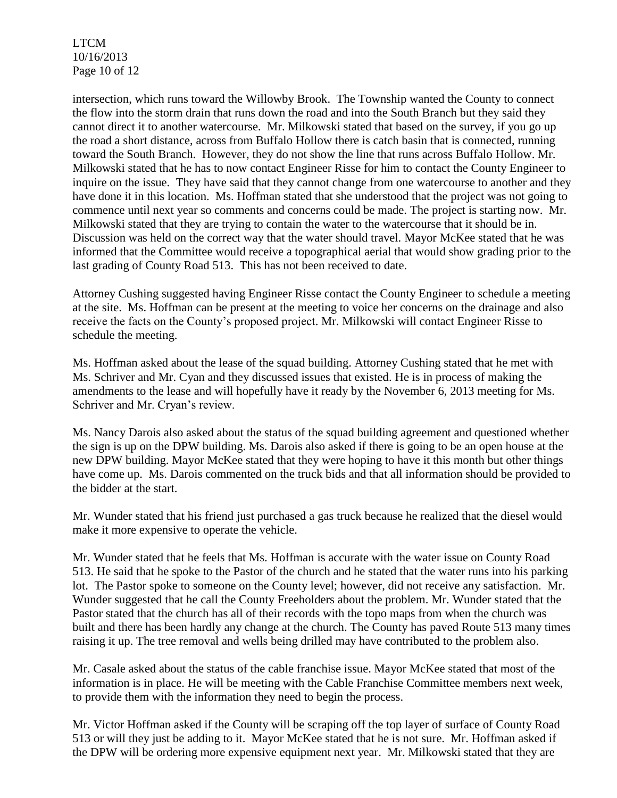LTCM 10/16/2013 Page 10 of 12

intersection, which runs toward the Willowby Brook. The Township wanted the County to connect the flow into the storm drain that runs down the road and into the South Branch but they said they cannot direct it to another watercourse. Mr. Milkowski stated that based on the survey, if you go up the road a short distance, across from Buffalo Hollow there is catch basin that is connected, running toward the South Branch. However, they do not show the line that runs across Buffalo Hollow. Mr. Milkowski stated that he has to now contact Engineer Risse for him to contact the County Engineer to inquire on the issue. They have said that they cannot change from one watercourse to another and they have done it in this location. Ms. Hoffman stated that she understood that the project was not going to commence until next year so comments and concerns could be made. The project is starting now. Mr. Milkowski stated that they are trying to contain the water to the watercourse that it should be in. Discussion was held on the correct way that the water should travel. Mayor McKee stated that he was informed that the Committee would receive a topographical aerial that would show grading prior to the last grading of County Road 513. This has not been received to date.

Attorney Cushing suggested having Engineer Risse contact the County Engineer to schedule a meeting at the site. Ms. Hoffman can be present at the meeting to voice her concerns on the drainage and also receive the facts on the County's proposed project. Mr. Milkowski will contact Engineer Risse to schedule the meeting.

Ms. Hoffman asked about the lease of the squad building. Attorney Cushing stated that he met with Ms. Schriver and Mr. Cyan and they discussed issues that existed. He is in process of making the amendments to the lease and will hopefully have it ready by the November 6, 2013 meeting for Ms. Schriver and Mr. Cryan's review.

Ms. Nancy Darois also asked about the status of the squad building agreement and questioned whether the sign is up on the DPW building. Ms. Darois also asked if there is going to be an open house at the new DPW building. Mayor McKee stated that they were hoping to have it this month but other things have come up. Ms. Darois commented on the truck bids and that all information should be provided to the bidder at the start.

Mr. Wunder stated that his friend just purchased a gas truck because he realized that the diesel would make it more expensive to operate the vehicle.

Mr. Wunder stated that he feels that Ms. Hoffman is accurate with the water issue on County Road 513. He said that he spoke to the Pastor of the church and he stated that the water runs into his parking lot. The Pastor spoke to someone on the County level; however, did not receive any satisfaction. Mr. Wunder suggested that he call the County Freeholders about the problem. Mr. Wunder stated that the Pastor stated that the church has all of their records with the topo maps from when the church was built and there has been hardly any change at the church. The County has paved Route 513 many times raising it up. The tree removal and wells being drilled may have contributed to the problem also.

Mr. Casale asked about the status of the cable franchise issue. Mayor McKee stated that most of the information is in place. He will be meeting with the Cable Franchise Committee members next week, to provide them with the information they need to begin the process.

Mr. Victor Hoffman asked if the County will be scraping off the top layer of surface of County Road 513 or will they just be adding to it. Mayor McKee stated that he is not sure. Mr. Hoffman asked if the DPW will be ordering more expensive equipment next year. Mr. Milkowski stated that they are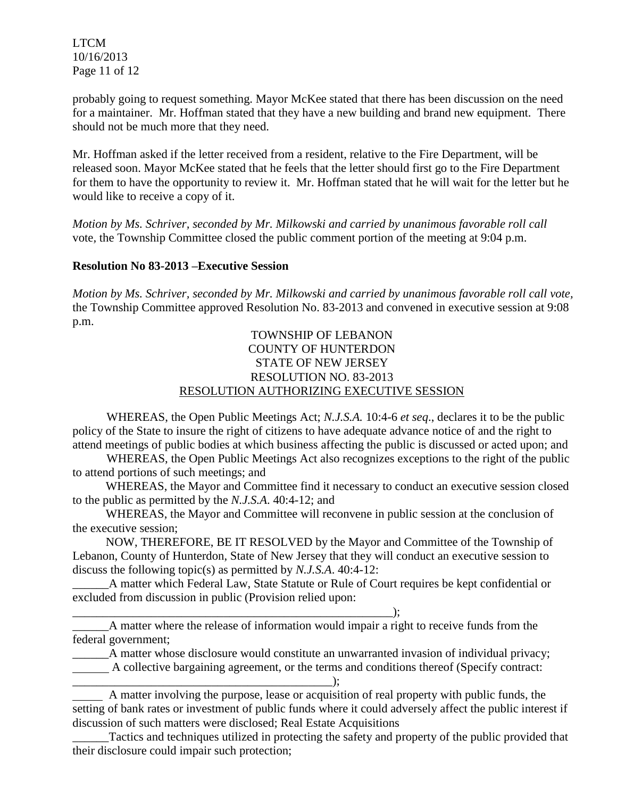LTCM 10/16/2013 Page 11 of 12

probably going to request something. Mayor McKee stated that there has been discussion on the need for a maintainer. Mr. Hoffman stated that they have a new building and brand new equipment. There should not be much more that they need.

Mr. Hoffman asked if the letter received from a resident, relative to the Fire Department, will be released soon. Mayor McKee stated that he feels that the letter should first go to the Fire Department for them to have the opportunity to review it. Mr. Hoffman stated that he will wait for the letter but he would like to receive a copy of it.

*Motion by Ms. Schriver, seconded by Mr. Milkowski and carried by unanimous favorable roll call*  vote*,* the Township Committee closed the public comment portion of the meeting at 9:04 p.m.

### **Resolution No 83-2013 –Executive Session**

*Motion by Ms. Schriver, seconded by Mr. Milkowski and carried by unanimous favorable roll call vote,* the Township Committee approved Resolution No. 83-2013 and convened in executive session at 9:08 p.m.

### TOWNSHIP OF LEBANON COUNTY OF HUNTERDON STATE OF NEW JERSEY RESOLUTION NO. 83-2013 RESOLUTION AUTHORIZING EXECUTIVE SESSION

WHEREAS, the Open Public Meetings Act; *N.J.S.A.* 10:4-6 *et seq*., declares it to be the public policy of the State to insure the right of citizens to have adequate advance notice of and the right to attend meetings of public bodies at which business affecting the public is discussed or acted upon; and

WHEREAS, the Open Public Meetings Act also recognizes exceptions to the right of the public to attend portions of such meetings; and

 WHEREAS, the Mayor and Committee find it necessary to conduct an executive session closed to the public as permitted by the *N.J.S.A*. 40:4-12; and

 WHEREAS, the Mayor and Committee will reconvene in public session at the conclusion of the executive session;

 NOW, THEREFORE, BE IT RESOLVED by the Mayor and Committee of the Township of Lebanon, County of Hunterdon, State of New Jersey that they will conduct an executive session to discuss the following topic(s) as permitted by *N.J.S.A*. 40:4-12:

\_\_\_\_\_\_A matter which Federal Law, State Statute or Rule of Court requires be kept confidential or excluded from discussion in public (Provision relied upon:

\_\_\_\_\_\_\_\_\_\_\_\_\_\_\_\_\_\_\_\_\_\_\_\_\_\_\_\_\_\_\_\_\_\_\_\_\_\_\_\_\_\_\_\_\_\_\_\_\_\_\_\_\_); \_\_\_\_\_\_A matter where the release of information would impair a right to receive funds from the federal government;

\_\_\_\_\_\_A matter whose disclosure would constitute an unwarranted invasion of individual privacy; A collective bargaining agreement, or the terms and conditions thereof (Specify contract:

\_\_\_\_\_\_\_\_\_\_\_\_\_\_\_\_\_\_\_\_\_\_\_\_\_\_\_\_\_\_\_\_\_\_\_\_\_\_\_\_\_\_\_); A matter involving the purpose, lease or acquisition of real property with public funds, the setting of bank rates or investment of public funds where it could adversely affect the public interest if discussion of such matters were disclosed; Real Estate Acquisitions

\_\_\_\_\_\_Tactics and techniques utilized in protecting the safety and property of the public provided that their disclosure could impair such protection;